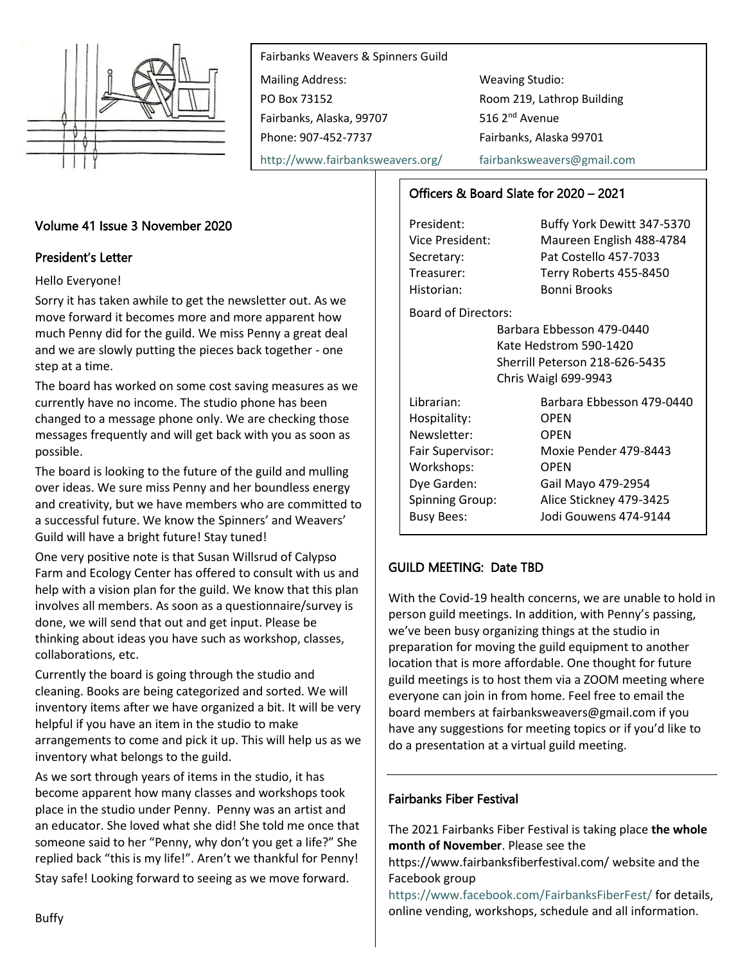

Fairbanks Weavers & Spinners Guild Mailing Address: Weaving Studio: PO Box 73152 Room 219, Lathrop Building Fairbanks, Alaska, 99707 516 2<sup>nd</sup> Avenue Phone: 907-452-7737 Fairbanks, Alaska 99701

<http://www.fairbanksweavers.org/> [fairbanksweavers@gmail.com](mailto:fairbanksweavers@gmail.com)

# Volume 41 Issue 3 November 2020

### President's Letter

Hello Everyone!

Sorry it has taken awhile to get the newsletter out. As we move forward it becomes more and more apparent how much Penny did for the guild. We miss Penny a great deal and we are slowly putting the pieces back together - one step at a time.

The board has worked on some cost saving measures as we currently have no income. The studio phone has been changed to a message phone only. We are checking those messages frequently and will get back with you as soon as possible.

The board is looking to the future of the guild and mulling over ideas. We sure miss Penny and her boundless energy and creativity, but we have members who are committed to a successful future. We know the Spinners' and Weavers' Guild will have a bright future! Stay tuned!

One very positive note is that Susan Willsrud of Calypso Farm and Ecology Center has offered to consult with us and help with a vision plan for the guild. We know that this plan involves all members. As soon as a questionnaire/survey is done, we will send that out and get input. Please be thinking about ideas you have such as workshop, classes, collaborations, etc.

Currently the board is going through the studio and cleaning. Books are being categorized and sorted. We will inventory items after we have organized a bit. It will be very helpful if you have an item in the studio to make arrangements to come and pick it up. This will help us as we inventory what belongs to the guild.

As we sort through years of items in the studio, it has become apparent how many classes and workshops took place in the studio under Penny. Penny was an artist and an educator. She loved what she did! She told me once that someone said to her "Penny, why don't you get a life?" She replied back "this is my life!". Aren't we thankful for Penny! Stay safe! Looking forward to seeing as we move forward.

### Officers & Board Slate for 2020 – 2021

Historian: Bonni Brooks

President: Buffy York Dewitt 347-5370 Vice President: Maureen English 488-4784 Secretary: Pat Costello 457-7033 Treasurer: Terry Roberts 455-8450

Board of Directors:

Barbara Ebbesson 479-0440 Kate Hedstrom 590-1420 Sherrill Peterson 218-626-5435 Chris Waigl 699-9943

| Librarian:             | Barbara Ebbesson 479-0440 |
|------------------------|---------------------------|
| Hospitality:           | OPEN                      |
| Newsletter:            | <b>OPEN</b>               |
| Fair Supervisor:       | Moxie Pender 479-8443     |
| Workshops:             | OPEN                      |
| Dye Garden:            | Gail Mayo 479-2954        |
| <b>Spinning Group:</b> | Alice Stickney 479-3425   |
| <b>Busy Bees:</b>      | Jodi Gouwens 474-9144     |
|                        |                           |

### GUILD MEETING: Date TBD

With the Covid-19 health concerns, we are unable to hold in person guild meetings. In addition, with Penny's passing, we've been busy organizing things at the studio in preparation for moving the guild equipment to another location that is more affordable. One thought for future guild meetings is to host them via a ZOOM meeting where everyone can join in from home. Feel free to email the board members at fairbanksweavers@gmail.com if you have any suggestions for meeting topics or if you'd like to do a presentation at a virtual guild meeting.

#### Fairbanks Fiber Festival

The 2021 Fairbanks Fiber Festival is taking place **the whole month of November**. Please see the

https://www.fairbanksfiberfestival.com/ website and the Facebook group

<https://www.facebook.com/FairbanksFiberFest/> for details, online vending, workshops, schedule and all information.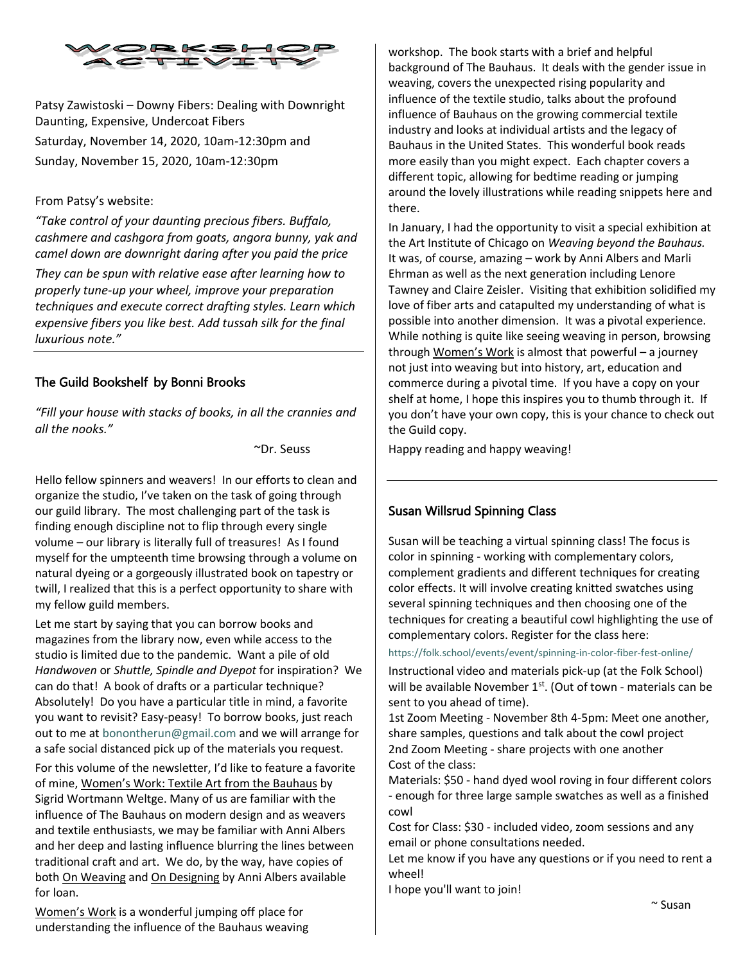

Patsy Zawistoski – Downy Fibers: Dealing with Downright Daunting, Expensive, Undercoat Fibers Saturday, November 14, 2020, 10am-12:30pm and Sunday, November 15, 2020, 10am-12:30pm

#### From Patsy's website:

*"Take control of your daunting precious fibers. Buffalo, cashmere and cashgora from goats, angora bunny, yak and camel down are downright daring after you paid the price*

*They can be spun with relative ease after learning how to properly tune-up your wheel, improve your preparation techniques and execute correct drafting styles. Learn which expensive fibers you like best. Add tussah silk for the final luxurious note."*

### The Guild Bookshelf by Bonni Brooks

*"Fill your house with stacks of books, in all the crannies and all the nooks."*

~Dr. Seuss

Hello fellow spinners and weavers! In our efforts to clean and organize the studio, I've taken on the task of going through our guild library. The most challenging part of the task is finding enough discipline not to flip through every single volume – our library is literally full of treasures! As I found myself for the umpteenth time browsing through a volume on natural dyeing or a gorgeously illustrated book on tapestry or twill, I realized that this is a perfect opportunity to share with my fellow guild members.

Let me start by saying that you can borrow books and magazines from the library now, even while access to the studio is limited due to the pandemic. Want a pile of old *Handwoven* or *Shuttle, Spindle and Dyepot* for inspiration? We can do that! A book of drafts or a particular technique? Absolutely! Do you have a particular title in mind, a favorite you want to revisit? Easy-peasy! To borrow books, just reach out to me at [bonontherun@gmail.com](mailto:bonontherun@gmail.com) and we will arrange for a safe social distanced pick up of the materials you request.

For this volume of the newsletter, I'd like to feature a favorite of mine, Women's Work: Textile Art from the Bauhaus by Sigrid Wortmann Weltge. Many of us are familiar with the influence of The Bauhaus on modern design and as weavers and textile enthusiasts, we may be familiar with Anni Albers and her deep and lasting influence blurring the lines between traditional craft and art. We do, by the way, have copies of both On Weaving and On Designing by Anni Albers available for loan.

Women's Work is a wonderful jumping off place for understanding the influence of the Bauhaus weaving workshop. The book starts with a brief and helpful background of The Bauhaus. It deals with the gender issue in weaving, covers the unexpected rising popularity and influence of the textile studio, talks about the profound influence of Bauhaus on the growing commercial textile industry and looks at individual artists and the legacy of Bauhaus in the United States. This wonderful book reads more easily than you might expect. Each chapter covers a different topic, allowing for bedtime reading or jumping around the lovely illustrations while reading snippets here and there.

In January, I had the opportunity to visit a special exhibition at the Art Institute of Chicago on *Weaving beyond the Bauhaus.*  It was, of course, amazing – work by Anni Albers and Marli Ehrman as well as the next generation including Lenore Tawney and Claire Zeisler. Visiting that exhibition solidified my love of fiber arts and catapulted my understanding of what is possible into another dimension. It was a pivotal experience. While nothing is quite like seeing weaving in person, browsing through Women's Work is almost that powerful - a journey not just into weaving but into history, art, education and commerce during a pivotal time. If you have a copy on your shelf at home, I hope this inspires you to thumb through it. If you don't have your own copy, this is your chance to check out the Guild copy.

Happy reading and happy weaving!

## Susan Willsrud Spinning Class

Susan will be teaching a virtual spinning class! The focus is color in spinning - working with complementary colors, complement gradients and different techniques for creating color effects. It will involve creating knitted swatches using several spinning techniques and then choosing one of the techniques for creating a beautiful cowl highlighting the use of complementary colors. Register for the class here:

<https://folk.school/events/event/spinning-in-color-fiber-fest-online/>

Instructional video and materials pick-up (at the Folk School) will be available November 1<sup>st</sup>. (Out of town - materials can be sent to you ahead of time).

1st Zoom Meeting - November 8th 4-5pm: Meet one another, share samples, questions and talk about the cowl project 2nd Zoom Meeting - share projects with one another Cost of the class:

Materials: \$50 - hand dyed wool roving in four different colors - enough for three large sample swatches as well as a finished cowl

Cost for Class: \$30 - included video, zoom sessions and any email or phone consultations needed.

Let me know if you have any questions or if you need to rent a wheel!

I hope you'll want to join!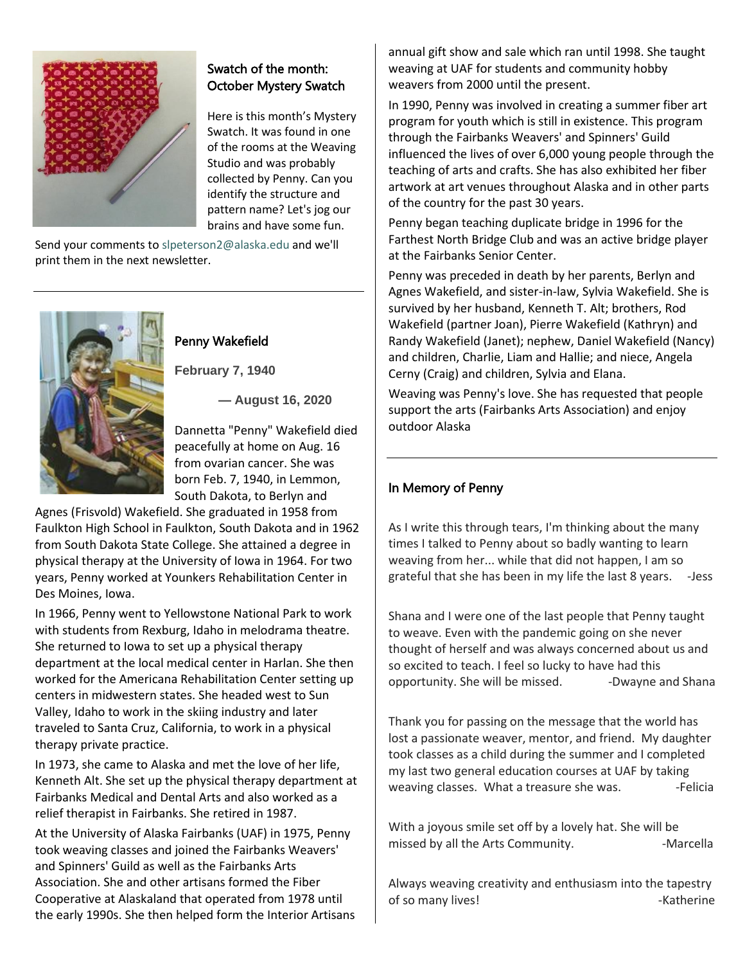

# Swatch of the month: October Mystery Swatch

Here is this month's Mystery Swatch. It was found in one of the rooms at the Weaving Studio and was probably collected by Penny. Can you identify the structure and pattern name? Let's jog our brains and have some fun.

Send your comments to [slpeterson2@alaska.edu](mailto:slpeterson2@alaska.edu) and we'll print them in the next newsletter.



# Penny Wakefield

**February 7, 1940**

**— August 16, 2020**

Dannetta "Penny" Wakefield died peacefully at home on Aug. 16 from ovarian cancer. She was born Feb. 7, 1940, in Lemmon, South Dakota, to Berlyn and

Agnes (Frisvold) Wakefield. She graduated in 1958 from Faulkton High School in Faulkton, South Dakota and in 1962 from South Dakota State College. She attained a degree in physical therapy at the University of Iowa in 1964. For two years, Penny worked at Younkers Rehabilitation Center in Des Moines, Iowa.

In 1966, Penny went to Yellowstone National Park to work with students from Rexburg, Idaho in melodrama theatre. She returned to Iowa to set up a physical therapy department at the local medical center in Harlan. She then worked for the Americana Rehabilitation Center setting up centers in midwestern states. She headed west to Sun Valley, Idaho to work in the skiing industry and later traveled to Santa Cruz, California, to work in a physical therapy private practice.

In 1973, she came to Alaska and met the love of her life, Kenneth Alt. She set up the physical therapy department at Fairbanks Medical and Dental Arts and also worked as a relief therapist in Fairbanks. She retired in 1987.

At the University of Alaska Fairbanks (UAF) in 1975, Penny took weaving classes and joined the Fairbanks Weavers' and Spinners' Guild as well as the Fairbanks Arts Association. She and other artisans formed the Fiber Cooperative at Alaskaland that operated from 1978 until the early 1990s. She then helped form the Interior Artisans annual gift show and sale which ran until 1998. She taught weaving at UAF for students and community hobby weavers from 2000 until the present.

In 1990, Penny was involved in creating a summer fiber art program for youth which is still in existence. This program through the Fairbanks Weavers' and Spinners' Guild influenced the lives of over 6,000 young people through the teaching of arts and crafts. She has also exhibited her fiber artwork at art venues throughout Alaska and in other parts of the country for the past 30 years.

Penny began teaching duplicate bridge in 1996 for the Farthest North Bridge Club and was an active bridge player at the Fairbanks Senior Center.

Penny was preceded in death by her parents, Berlyn and Agnes Wakefield, and sister-in-law, Sylvia Wakefield. She is survived by her husband, Kenneth T. Alt; brothers, Rod Wakefield (partner Joan), Pierre Wakefield (Kathryn) and Randy Wakefield (Janet); nephew, Daniel Wakefield (Nancy) and children, Charlie, Liam and Hallie; and niece, Angela Cerny (Craig) and children, Sylvia and Elana.

Weaving was Penny's love. She has requested that people support the arts (Fairbanks Arts Association) and enjoy outdoor Alaska

# In Memory of Penny

As I write this through tears, I'm thinking about the many times I talked to Penny about so badly wanting to learn weaving from her... while that did not happen, I am so grateful that she has been in my life the last 8 years. -Jess

Shana and I were one of the last people that Penny taught to weave. Even with the pandemic going on she never thought of herself and was always concerned about us and so excited to teach. I feel so lucky to have had this opportunity. She will be missed. - Dwayne and Shana

Thank you for passing on the message that the world has lost a passionate weaver, mentor, and friend. My daughter took classes as a child during the summer and I completed my last two general education courses at UAF by taking weaving classes. What a treasure she was. -Felicia

With a joyous smile set off by a lovely hat. She will be missed by all the Arts Community. The Marcella

Always weaving creativity and enthusiasm into the tapestry of so many lives! The same state of some and set of some and set of some state  $\sim$  -Katherine